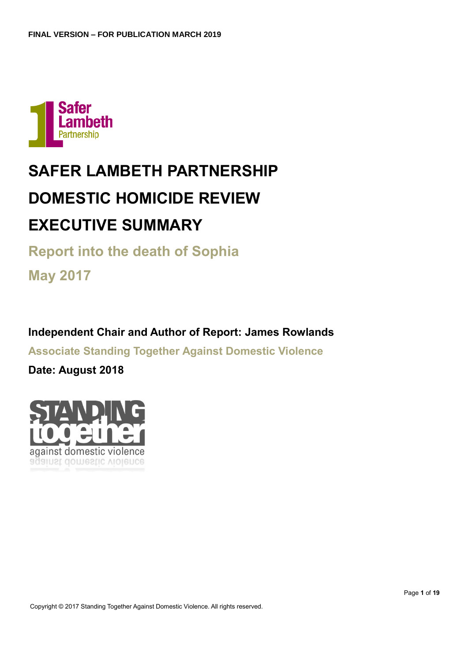

# **SAFER LAMBETH PARTNERSHIP DOMESTIC HOMICIDE REVIEW EXECUTIVE SUMMARY**

**Report into the death of Sophia**

**May 2017**

**Independent Chair and Author of Report: James Rowlands**

**Associate Standing Together Against Domestic Violence**

**Date: August 2018**

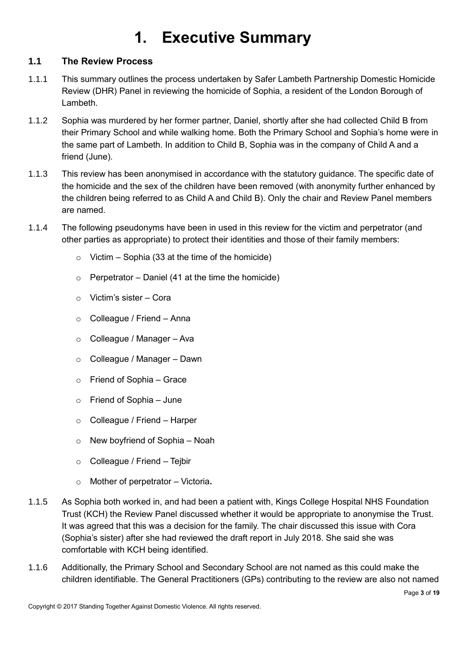# **1. Executive Summary**

# <span id="page-2-1"></span><span id="page-2-0"></span>**1.1 The Review Process**

- 1.1.1 This summary outlines the process undertaken by Safer Lambeth Partnership Domestic Homicide Review (DHR) Panel in reviewing the homicide of Sophia, a resident of the London Borough of Lambeth.
- 1.1.2 Sophia was murdered by her former partner, Daniel, shortly after she had collected Child B from their Primary School and while walking home. Both the Primary School and Sophia's home were in the same part of Lambeth. In addition to Child B, Sophia was in the company of Child A and a friend (June).
- 1.1.3 This review has been anonymised in accordance with the statutory guidance. The specific date of the homicide and the sex of the children have been removed (with anonymity further enhanced by the children being referred to as Child A and Child B). Only the chair and Review Panel members are named.
- 1.1.4 The following pseudonyms have been in used in this review for the victim and perpetrator (and other parties as appropriate) to protect their identities and those of their family members:
	- $\circ$  Victim Sophia (33 at the time of the homicide)
	- $\circ$  Perpetrator Daniel (41 at the time the homicide)
	- $\circ$  Victim's sister Cora
	- o Colleague / Friend Anna
	- o Colleague / Manager Ava
	- o Colleague / Manager Dawn
	- o Friend of Sophia Grace
	- $\circ$  Friend of Sophia June
	- o Colleague / Friend Harper
	- $\circ$  New boyfriend of Sophia Noah
	- o Colleague / Friend Tejbir
	- o Mother of perpetrator Victoria**.**
- 1.1.5 As Sophia both worked in, and had been a patient with, Kings College Hospital NHS Foundation Trust (KCH) the Review Panel discussed whether it would be appropriate to anonymise the Trust. It was agreed that this was a decision for the family. The chair discussed this issue with Cora (Sophia's sister) after she had reviewed the draft report in July 2018. She said she was comfortable with KCH being identified.
- 1.1.6 Additionally, the Primary School and Secondary School are not named as this could make the children identifiable. The General Practitioners (GPs) contributing to the review are also not named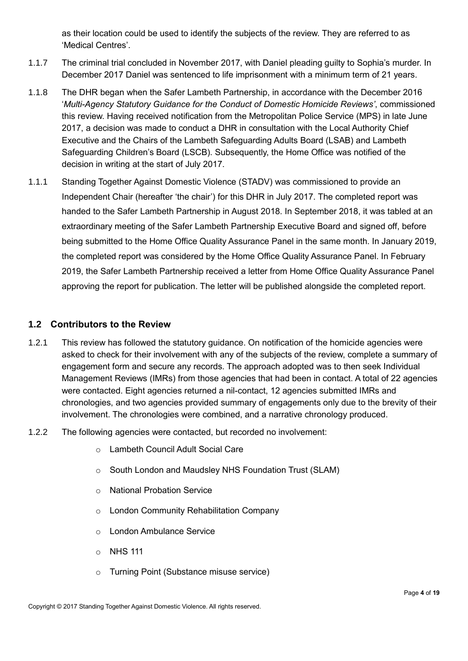as their location could be used to identify the subjects of the review. They are referred to as 'Medical Centres'.

- 1.1.7 The criminal trial concluded in November 2017, with Daniel pleading guilty to Sophia's murder. In December 2017 Daniel was sentenced to life imprisonment with a minimum term of 21 years.
- 1.1.8 The DHR began when the Safer Lambeth Partnership, in accordance with the December 2016 '*Multi-Agency Statutory Guidance for the Conduct of Domestic Homicide Reviews'*, commissioned this review. Having received notification from the Metropolitan Police Service (MPS) in late June 2017, a decision was made to conduct a DHR in consultation with the Local Authority Chief Executive and the Chairs of the Lambeth Safeguarding Adults Board (LSAB) and Lambeth Safeguarding Children's Board (LSCB). Subsequently, the Home Office was notified of the decision in writing at the start of July 2017.
- 1.1.1 Standing Together Against Domestic Violence (STADV) was commissioned to provide an Independent Chair (hereafter 'the chair') for this DHR in July 2017. The completed report was handed to the Safer Lambeth Partnership in August 2018. In September 2018, it was tabled at an extraordinary meeting of the Safer Lambeth Partnership Executive Board and signed off, before being submitted to the Home Office Quality Assurance Panel in the same month. In January 2019, the completed report was considered by the Home Office Quality Assurance Panel. In February 2019, the Safer Lambeth Partnership received a letter from Home Office Quality Assurance Panel approving the report for publication. The letter will be published alongside the completed report.

# <span id="page-3-0"></span>**1.2 Contributors to the Review**

- 1.2.1 This review has followed the statutory guidance. On notification of the homicide agencies were asked to check for their involvement with any of the subjects of the review, complete a summary of engagement form and secure any records. The approach adopted was to then seek Individual Management Reviews (IMRs) from those agencies that had been in contact. A total of 22 agencies were contacted. Eight agencies returned a nil-contact, 12 agencies submitted IMRs and chronologies, and two agencies provided summary of engagements only due to the brevity of their involvement. The chronologies were combined, and a narrative chronology produced.
- 1.2.2 The following agencies were contacted, but recorded no involvement:
	- o Lambeth Council Adult Social Care
	- o South London and Maudsley NHS Foundation Trust (SLAM)
	- o National Probation Service
	- o London Community Rehabilitation Company
	- o London Ambulance Service
	- o NHS 111
	- o Turning Point (Substance misuse service)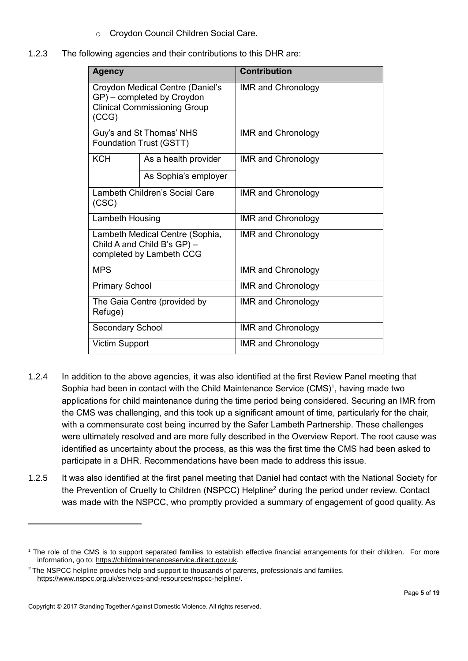- o Croydon Council Children Social Care.
- 1.2.3 The following agencies and their contributions to this DHR are:

| <b>Agency</b>           |                                                                                                       | <b>Contribution</b>       |
|-------------------------|-------------------------------------------------------------------------------------------------------|---------------------------|
| (CCG)                   | Croydon Medical Centre (Daniel's<br>GP) – completed by Croydon<br><b>Clinical Commissioning Group</b> | <b>IMR and Chronology</b> |
|                         | Guy's and St Thomas' NHS<br>Foundation Trust (GSTT)                                                   | <b>IMR and Chronology</b> |
| <b>KCH</b>              | As a health provider                                                                                  | <b>IMR and Chronology</b> |
|                         | As Sophia's employer                                                                                  |                           |
| (CSC)                   | Lambeth Children's Social Care                                                                        | <b>IMR and Chronology</b> |
| Lambeth Housing         |                                                                                                       | <b>IMR and Chronology</b> |
|                         | Lambeth Medical Centre (Sophia,<br>Child A and Child B's GP) -<br>completed by Lambeth CCG            | <b>IMR and Chronology</b> |
| <b>MPS</b>              |                                                                                                       | <b>IMR and Chronology</b> |
| <b>Primary School</b>   |                                                                                                       | <b>IMR and Chronology</b> |
| Refuge)                 | The Gaia Centre (provided by                                                                          | <b>IMR and Chronology</b> |
| <b>Secondary School</b> |                                                                                                       | <b>IMR and Chronology</b> |
| <b>Victim Support</b>   |                                                                                                       | <b>IMR and Chronology</b> |

- 1.2.4 In addition to the above agencies, it was also identified at the first Review Panel meeting that Sophia had been in contact with the Child Maintenance Service  $(CMS)^1$ , having made two applications for child maintenance during the time period being considered. Securing an IMR from the CMS was challenging, and this took up a significant amount of time, particularly for the chair, with a commensurate cost being incurred by the Safer Lambeth Partnership. These challenges were ultimately resolved and are more fully described in the Overview Report. The root cause was identified as uncertainty about the process, as this was the first time the CMS had been asked to participate in a DHR. Recommendations have been made to address this issue.
- 1.2.5 It was also identified at the first panel meeting that Daniel had contact with the National Society for the Prevention of Cruelty to Children (NSPCC) Helpline<sup>2</sup> during the period under review. Contact was made with the NSPCC, who promptly provided a summary of engagement of good quality. As

-

<sup>1</sup> The role of the CMS is to support separated families to establish effective financial arrangements for their children. For more information, go to: [https://childmaintenanceservice.direct.gov.uk.](https://childmaintenanceservice.direct.gov.uk/)

<sup>&</sup>lt;sup>2</sup> The NSPCC helpline provides help and support to thousands of parents, professionals and families. [https://www.nspcc.org.uk/services-and-resources/nspcc-helpline/.](https://www.nspcc.org.uk/services-and-resources/nspcc-helpline/)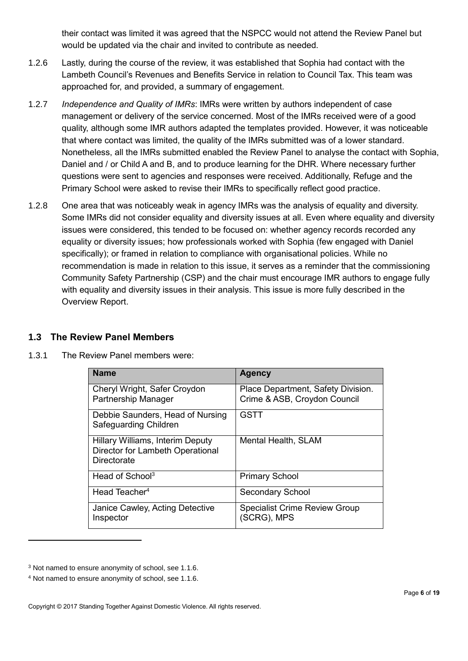their contact was limited it was agreed that the NSPCC would not attend the Review Panel but would be updated via the chair and invited to contribute as needed.

- 1.2.6 Lastly, during the course of the review, it was established that Sophia had contact with the Lambeth Council's Revenues and Benefits Service in relation to Council Tax. This team was approached for, and provided, a summary of engagement.
- 1.2.7 *Independence and Quality of IMRs*: IMRs were written by authors independent of case management or delivery of the service concerned. Most of the IMRs received were of a good quality, although some IMR authors adapted the templates provided. However, it was noticeable that where contact was limited, the quality of the IMRs submitted was of a lower standard. Nonetheless, all the IMRs submitted enabled the Review Panel to analyse the contact with Sophia, Daniel and / or Child A and B, and to produce learning for the DHR. Where necessary further questions were sent to agencies and responses were received. Additionally, Refuge and the Primary School were asked to revise their IMRs to specifically reflect good practice.
- 1.2.8 One area that was noticeably weak in agency IMRs was the analysis of equality and diversity. Some IMRs did not consider equality and diversity issues at all. Even where equality and diversity issues were considered, this tended to be focused on: whether agency records recorded any equality or diversity issues; how professionals worked with Sophia (few engaged with Daniel specifically); or framed in relation to compliance with organisational policies. While no recommendation is made in relation to this issue, it serves as a reminder that the commissioning Community Safety Partnership (CSP) and the chair must encourage IMR authors to engage fully with equality and diversity issues in their analysis. This issue is more fully described in the Overview Report.

# <span id="page-5-0"></span>**1.3 The Review Panel Members**

1.3.1 The Review Panel members were:

| <b>Name</b>                                                                         | <b>Agency</b>                                                      |
|-------------------------------------------------------------------------------------|--------------------------------------------------------------------|
| Cheryl Wright, Safer Croydon<br>Partnership Manager                                 | Place Department, Safety Division.<br>Crime & ASB, Croydon Council |
| Debbie Saunders, Head of Nursing<br>Safeguarding Children                           | <b>GSTT</b>                                                        |
| Hillary Williams, Interim Deputy<br>Director for Lambeth Operational<br>Directorate | Mental Health, SLAM                                                |
| Head of School <sup>3</sup>                                                         | <b>Primary School</b>                                              |
| Head Teacher <sup>4</sup>                                                           | Secondary School                                                   |
| Janice Cawley, Acting Detective<br>Inspector                                        | <b>Specialist Crime Review Group</b><br>(SCRG), MPS                |

-

<sup>3</sup> Not named to ensure anonymity of school, see 1.1.6.

<sup>4</sup> Not named to ensure anonymity of school, see 1.1.6.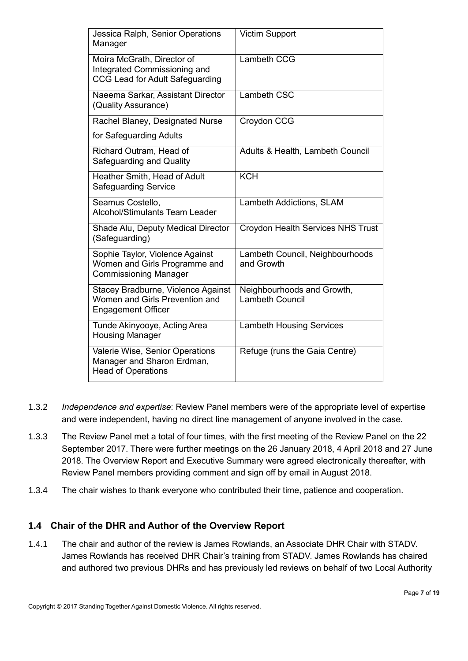| Jessica Ralph, Senior Operations<br>Manager                                                       | <b>Victim Support</b>                                |
|---------------------------------------------------------------------------------------------------|------------------------------------------------------|
| Moira McGrath, Director of<br>Integrated Commissioning and<br>CCG Lead for Adult Safeguarding     | Lambeth CCG                                          |
| Naeema Sarkar, Assistant Director<br>(Quality Assurance)                                          | Lambeth CSC                                          |
| Rachel Blaney, Designated Nurse                                                                   | Croydon CCG                                          |
| for Safeguarding Adults                                                                           |                                                      |
| Richard Outram, Head of<br>Safeguarding and Quality                                               | Adults & Health, Lambeth Council                     |
| Heather Smith, Head of Adult<br><b>Safeguarding Service</b>                                       | <b>KCH</b>                                           |
| Seamus Costello,<br><b>Alcohol/Stimulants Team Leader</b>                                         | Lambeth Addictions, SLAM                             |
| Shade Alu, Deputy Medical Director<br>(Safeguarding)                                              | Croydon Health Services NHS Trust                    |
| Sophie Taylor, Violence Against<br>Women and Girls Programme and<br><b>Commissioning Manager</b>  | Lambeth Council, Neighbourhoods<br>and Growth        |
| Stacey Bradburne, Violence Against<br>Women and Girls Prevention and<br><b>Engagement Officer</b> | Neighbourhoods and Growth,<br><b>Lambeth Council</b> |
| Tunde Akinyooye, Acting Area<br><b>Housing Manager</b>                                            | <b>Lambeth Housing Services</b>                      |
| Valerie Wise, Senior Operations<br>Manager and Sharon Erdman,<br><b>Head of Operations</b>        | Refuge (runs the Gaia Centre)                        |

- 1.3.2 *Independence and expertise*: Review Panel members were of the appropriate level of expertise and were independent, having no direct line management of anyone involved in the case.
- 1.3.3 The Review Panel met a total of four times, with the first meeting of the Review Panel on the 22 September 2017. There were further meetings on the 26 January 2018, 4 April 2018 and 27 June 2018. The Overview Report and Executive Summary were agreed electronically thereafter, with Review Panel members providing comment and sign off by email in August 2018.
- 1.3.4 The chair wishes to thank everyone who contributed their time, patience and cooperation.

# <span id="page-6-0"></span>**1.4 Chair of the DHR and Author of the Overview Report**

1.4.1 The chair and author of the review is James Rowlands, an Associate DHR Chair with STADV. James Rowlands has received DHR Chair's training from STADV. James Rowlands has chaired and authored two previous DHRs and has previously led reviews on behalf of two Local Authority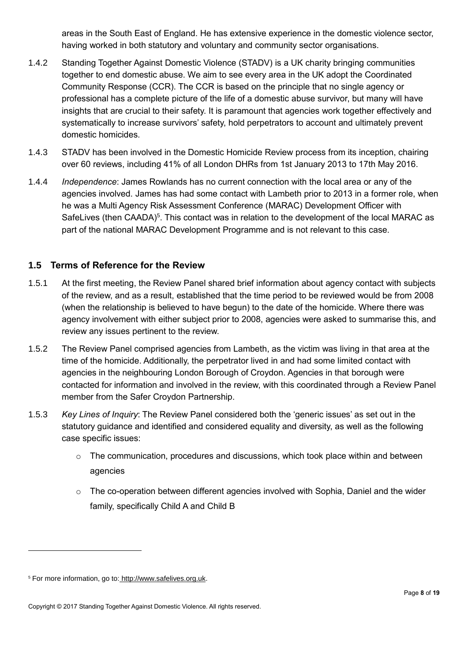areas in the South East of England. He has extensive experience in the domestic violence sector, having worked in both statutory and voluntary and community sector organisations.

- 1.4.2 Standing Together Against Domestic Violence (STADV) is a UK charity bringing communities together to end domestic abuse. We aim to see every area in the UK adopt the Coordinated Community Response (CCR). The CCR is based on the principle that no single agency or professional has a complete picture of the life of a domestic abuse survivor, but many will have insights that are crucial to their safety. It is paramount that agencies work together effectively and systematically to increase survivors' safety, hold perpetrators to account and ultimately prevent domestic homicides.
- 1.4.3 STADV has been involved in the Domestic Homicide Review process from its inception, chairing over 60 reviews, including 41% of all London DHRs from 1st January 2013 to 17th May 2016.
- 1.4.4 *Independence*: James Rowlands has no current connection with the local area or any of the agencies involved. James has had some contact with Lambeth prior to 2013 in a former role, when he was a Multi Agency Risk Assessment Conference (MARAC) Development Officer with SafeLives (then CAADA)<sup>5</sup>. This contact was in relation to the development of the local MARAC as part of the national MARAC Development Programme and is not relevant to this case.

# <span id="page-7-0"></span>**1.5 Terms of Reference for the Review**

- 1.5.1 At the first meeting, the Review Panel shared brief information about agency contact with subjects of the review, and as a result, established that the time period to be reviewed would be from 2008 (when the relationship is believed to have begun) to the date of the homicide. Where there was agency involvement with either subject prior to 2008, agencies were asked to summarise this, and review any issues pertinent to the review.
- 1.5.2 The Review Panel comprised agencies from Lambeth, as the victim was living in that area at the time of the homicide. Additionally, the perpetrator lived in and had some limited contact with agencies in the neighbouring London Borough of Croydon. Agencies in that borough were contacted for information and involved in the review, with this coordinated through a Review Panel member from the Safer Croydon Partnership.
- 1.5.3 *Key Lines of Inquiry*: The Review Panel considered both the 'generic issues' as set out in the statutory guidance and identified and considered equality and diversity, as well as the following case specific issues:
	- $\circ$  The communication, procedures and discussions, which took place within and between agencies
	- $\circ$  The co-operation between different agencies involved with Sophia, Daniel and the wider family, specifically Child A and Child B

-

<sup>5</sup> For more information, go to: [http://www.safelives.org.uk.](http://www.safelives.org.uk/)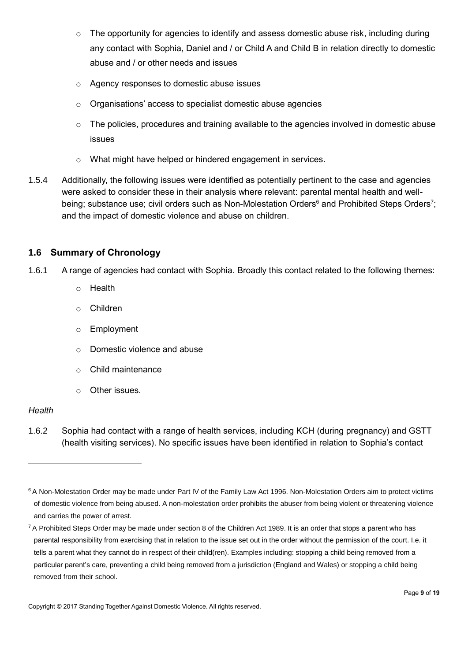- o The opportunity for agencies to identify and assess domestic abuse risk, including during any contact with Sophia, Daniel and / or Child A and Child B in relation directly to domestic abuse and / or other needs and issues
- o Agency responses to domestic abuse issues
- o Organisations' access to specialist domestic abuse agencies
- o The policies, procedures and training available to the agencies involved in domestic abuse issues
- o What might have helped or hindered engagement in services.
- 1.5.4 Additionally, the following issues were identified as potentially pertinent to the case and agencies were asked to consider these in their analysis where relevant: parental mental health and wellbeing; substance use; civil orders such as Non-Molestation Orders<sup>6</sup> and Prohibited Steps Orders<sup>7</sup>; and the impact of domestic violence and abuse on children.

# <span id="page-8-0"></span>**1.6 Summary of Chronology**

- 1.6.1 A range of agencies had contact with Sophia. Broadly this contact related to the following themes:
	- o Health
	- o Children
	- o Employment
	- o Domestic violence and abuse
	- o Child maintenance
	- o Other issues.

#### *Health*

-

1.6.2 Sophia had contact with a range of health services, including KCH (during pregnancy) and GSTT (health visiting services). No specific issues have been identified in relation to Sophia's contact

<sup>&</sup>lt;sup>6</sup> A Non-Molestation Order may be made under Part IV of the Family Law Act 1996. Non-Molestation Orders aim to protect victims of domestic violence from being abused. A non-molestation order prohibits the abuser from being violent or threatening violence and carries the power of arrest.

 $7$  A Prohibited Steps Order may be made under [section 8](https://www.lexisnexis.com/uk/lexispsl/family/document/393787/55KB-DRH1-F18F-01MR-00000-00/linkHandler.faces?psldocinfo=Prohibited_steps_orders_overview&A=0.7489249235247963&bct=A&service=citation&risb=&langcountry=GB&linkInfo=F%23GB%23UK_ACTS%23num%251989_41a%25sect%258%25section%258%25) of the Children Act 1989. It is an order that stops a parent who has parental responsibility from exercising that in relation to the issue set out in the order without the permission of the court. I.e. it tells a parent what they cannot do in respect of their child(ren). Examples including: stopping a child being removed from a particular parent's care, preventing a child being removed from a jurisdiction (England and Wales) or stopping a child being removed from their school.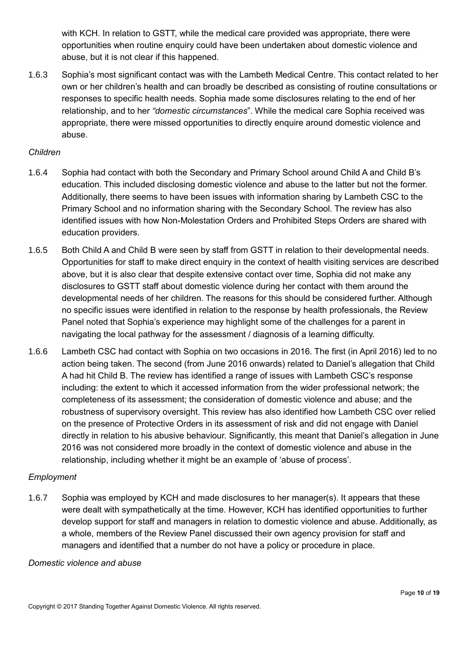with KCH. In relation to GSTT, while the medical care provided was appropriate, there were opportunities when routine enquiry could have been undertaken about domestic violence and abuse, but it is not clear if this happened.

1.6.3 Sophia's most significant contact was with the Lambeth Medical Centre. This contact related to her own or her children's health and can broadly be described as consisting of routine consultations or responses to specific health needs. Sophia made some disclosures relating to the end of her relationship, and to her *"domestic circumstances*". While the medical care Sophia received was appropriate, there were missed opportunities to directly enquire around domestic violence and abuse.

### *Children*

- 1.6.4 Sophia had contact with both the Secondary and Primary School around Child A and Child B's education. This included disclosing domestic violence and abuse to the latter but not the former. Additionally, there seems to have been issues with information sharing by Lambeth CSC to the Primary School and no information sharing with the Secondary School. The review has also identified issues with how Non-Molestation Orders and Prohibited Steps Orders are shared with education providers.
- 1.6.5 Both Child A and Child B were seen by staff from GSTT in relation to their developmental needs. Opportunities for staff to make direct enquiry in the context of health visiting services are described above, but it is also clear that despite extensive contact over time, Sophia did not make any disclosures to GSTT staff about domestic violence during her contact with them around the developmental needs of her children. The reasons for this should be considered further. Although no specific issues were identified in relation to the response by health professionals, the Review Panel noted that Sophia's experience may highlight some of the challenges for a parent in navigating the local pathway for the assessment / diagnosis of a learning difficulty.
- 1.6.6 Lambeth CSC had contact with Sophia on two occasions in 2016. The first (in April 2016) led to no action being taken. The second (from June 2016 onwards) related to Daniel's allegation that Child A had hit Child B. The review has identified a range of issues with Lambeth CSC's response including: the extent to which it accessed information from the wider professional network; the completeness of its assessment; the consideration of domestic violence and abuse; and the robustness of supervisory oversight. This review has also identified how Lambeth CSC over relied on the presence of Protective Orders in its assessment of risk and did not engage with Daniel directly in relation to his abusive behaviour. Significantly, this meant that Daniel's allegation in June 2016 was not considered more broadly in the context of domestic violence and abuse in the relationship, including whether it might be an example of 'abuse of process'.

# *Employment*

1.6.7 Sophia was employed by KCH and made disclosures to her manager(s). It appears that these were dealt with sympathetically at the time. However, KCH has identified opportunities to further develop support for staff and managers in relation to domestic violence and abuse. Additionally, as a whole, members of the Review Panel discussed their own agency provision for staff and managers and identified that a number do not have a policy or procedure in place.

#### *Domestic violence and abuse*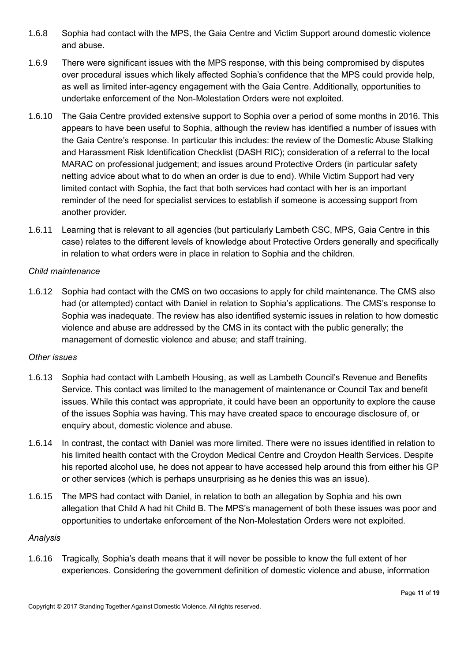- 1.6.8 Sophia had contact with the MPS, the Gaia Centre and Victim Support around domestic violence and abuse.
- 1.6.9 There were significant issues with the MPS response, with this being compromised by disputes over procedural issues which likely affected Sophia's confidence that the MPS could provide help, as well as limited inter-agency engagement with the Gaia Centre. Additionally, opportunities to undertake enforcement of the Non-Molestation Orders were not exploited.
- 1.6.10 The Gaia Centre provided extensive support to Sophia over a period of some months in 2016. This appears to have been useful to Sophia, although the review has identified a number of issues with the Gaia Centre's response. In particular this includes: the review of the Domestic Abuse Stalking and Harassment Risk Identification Checklist (DASH RIC); consideration of a referral to the local MARAC on professional judgement; and issues around Protective Orders (in particular safety netting advice about what to do when an order is due to end). While Victim Support had very limited contact with Sophia, the fact that both services had contact with her is an important reminder of the need for specialist services to establish if someone is accessing support from another provider.
- 1.6.11 Learning that is relevant to all agencies (but particularly Lambeth CSC, MPS, Gaia Centre in this case) relates to the different levels of knowledge about Protective Orders generally and specifically in relation to what orders were in place in relation to Sophia and the children.

# *Child maintenance*

1.6.12 Sophia had contact with the CMS on two occasions to apply for child maintenance. The CMS also had (or attempted) contact with Daniel in relation to Sophia's applications. The CMS's response to Sophia was inadequate. The review has also identified systemic issues in relation to how domestic violence and abuse are addressed by the CMS in its contact with the public generally; the management of domestic violence and abuse; and staff training.

#### *Other issues*

- 1.6.13 Sophia had contact with Lambeth Housing, as well as Lambeth Council's Revenue and Benefits Service. This contact was limited to the management of maintenance or Council Tax and benefit issues. While this contact was appropriate, it could have been an opportunity to explore the cause of the issues Sophia was having. This may have created space to encourage disclosure of, or enquiry about, domestic violence and abuse.
- 1.6.14 In contrast, the contact with Daniel was more limited. There were no issues identified in relation to his limited health contact with the Croydon Medical Centre and Croydon Health Services. Despite his reported alcohol use, he does not appear to have accessed help around this from either his GP or other services (which is perhaps unsurprising as he denies this was an issue).
- 1.6.15 The MPS had contact with Daniel, in relation to both an allegation by Sophia and his own allegation that Child A had hit Child B. The MPS's management of both these issues was poor and opportunities to undertake enforcement of the Non-Molestation Orders were not exploited.

#### *Analysis*

1.6.16 Tragically, Sophia's death means that it will never be possible to know the full extent of her experiences. Considering the government definition of domestic violence and abuse, information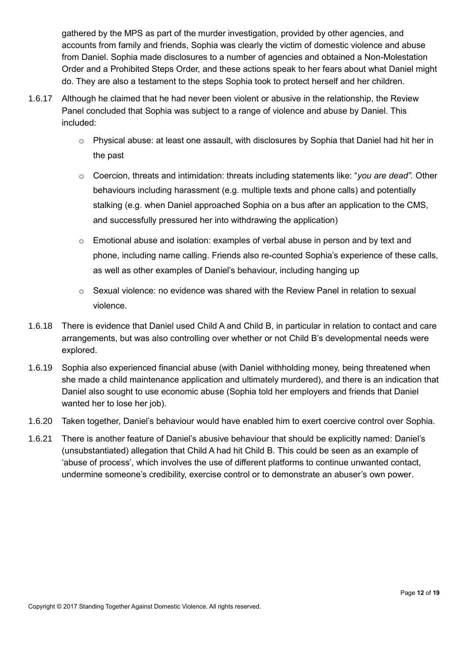gathered by the MPS as part of the murder investigation, provided by other agencies, and accounts from family and friends, Sophia was clearly the victim of domestic violence and abuse from Daniel. Sophia made disclosures to a number of agencies and obtained a Non-Molestation Order and a Prohibited Steps Order, and these actions speak to her fears about what Daniel might do. They are also a testament to the steps Sophia took to protect herself and her children.

- 1.6.17 Although he claimed that he had never been violent or abusive in the relationship, the Review Panel concluded that Sophia was subject to a range of violence and abuse by Daniel. This included:
	- o Physical abuse: at least one assault, with disclosures by Sophia that Daniel had hit her in the past
	- o Coercion, threats and intimidation: threats including statements like: "*you are dead".* Other behaviours including harassment (e.g. multiple texts and phone calls) and potentially stalking (e.g. when Daniel approached Sophia on a bus after an application to the CMS, and successfully pressured her into withdrawing the application)
	- o Emotional abuse and isolation: examples of verbal abuse in person and by text and phone, including name calling. Friends also re-counted Sophia's experience of these calls, as well as other examples of Daniel's behaviour, including hanging up
	- $\circ$  Sexual violence: no evidence was shared with the Review Panel in relation to sexual violence.
- 1.6.18 There is evidence that Daniel used Child A and Child B, in particular in relation to contact and care arrangements, but was also controlling over whether or not Child B's developmental needs were explored.
- 1.6.19 Sophia also experienced financial abuse (with Daniel withholding money, being threatened when she made a child maintenance application and ultimately murdered), and there is an indication that Daniel also sought to use economic abuse (Sophia told her employers and friends that Daniel wanted her to lose her job).
- 1.6.20 Taken together, Daniel's behaviour would have enabled him to exert coercive control over Sophia.
- 1.6.21 There is another feature of Daniel's abusive behaviour that should be explicitly named: Daniel's (unsubstantiated) allegation that Child A had hit Child B. This could be seen as an example of 'abuse of process', which involves the use of different platforms to continue unwanted contact, undermine someone's credibility, exercise control or to demonstrate an abuser's own power.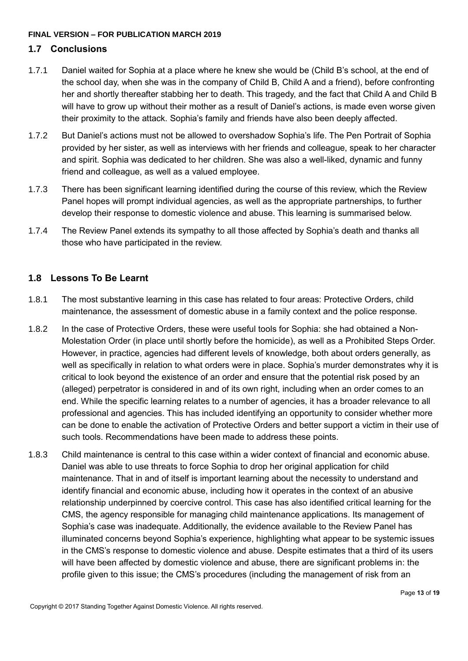#### **FINAL VERSION – FOR PUBLICATION MARCH 2019**

# <span id="page-12-0"></span>**1.7 Conclusions**

- 1.7.1 Daniel waited for Sophia at a place where he knew she would be (Child B's school, at the end of the school day, when she was in the company of Child B, Child A and a friend), before confronting her and shortly thereafter stabbing her to death. This tragedy, and the fact that Child A and Child B will have to grow up without their mother as a result of Daniel's actions, is made even worse given their proximity to the attack. Sophia's family and friends have also been deeply affected.
- 1.7.2 But Daniel's actions must not be allowed to overshadow Sophia's life. The Pen Portrait of Sophia provided by her sister, as well as interviews with her friends and colleague, speak to her character and spirit. Sophia was dedicated to her children. She was also a well-liked, dynamic and funny friend and colleague, as well as a valued employee.
- 1.7.3 There has been significant learning identified during the course of this review, which the Review Panel hopes will prompt individual agencies, as well as the appropriate partnerships, to further develop their response to domestic violence and abuse. This learning is summarised below.
- 1.7.4 The Review Panel extends its sympathy to all those affected by Sophia's death and thanks all those who have participated in the review.

# <span id="page-12-1"></span>**1.8 Lessons To Be Learnt**

- 1.8.1 The most substantive learning in this case has related to four areas: Protective Orders, child maintenance, the assessment of domestic abuse in a family context and the police response.
- 1.8.2 In the case of Protective Orders, these were useful tools for Sophia: she had obtained a Non-Molestation Order (in place until shortly before the homicide), as well as a Prohibited Steps Order. However, in practice, agencies had different levels of knowledge, both about orders generally, as well as specifically in relation to what orders were in place. Sophia's murder demonstrates why it is critical to look beyond the existence of an order and ensure that the potential risk posed by an (alleged) perpetrator is considered in and of its own right, including when an order comes to an end. While the specific learning relates to a number of agencies, it has a broader relevance to all professional and agencies. This has included identifying an opportunity to consider whether more can be done to enable the activation of Protective Orders and better support a victim in their use of such tools. Recommendations have been made to address these points.
- 1.8.3 Child maintenance is central to this case within a wider context of financial and economic abuse. Daniel was able to use threats to force Sophia to drop her original application for child maintenance. That in and of itself is important learning about the necessity to understand and identify financial and economic abuse, including how it operates in the context of an abusive relationship underpinned by coercive control. This case has also identified critical learning for the CMS, the agency responsible for managing child maintenance applications. Its management of Sophia's case was inadequate. Additionally, the evidence available to the Review Panel has illuminated concerns beyond Sophia's experience, highlighting what appear to be systemic issues in the CMS's response to domestic violence and abuse. Despite estimates that a third of its users will have been affected by domestic violence and abuse, there are significant problems in: the profile given to this issue; the CMS's procedures (including the management of risk from an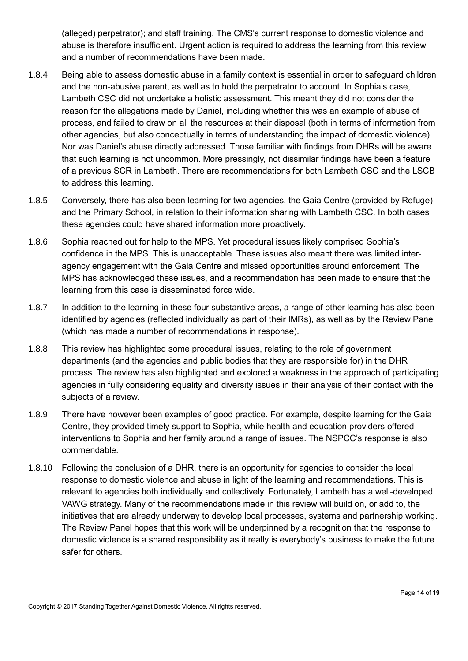(alleged) perpetrator); and staff training. The CMS's current response to domestic violence and abuse is therefore insufficient. Urgent action is required to address the learning from this review and a number of recommendations have been made.

- 1.8.4 Being able to assess domestic abuse in a family context is essential in order to safeguard children and the non-abusive parent, as well as to hold the perpetrator to account. In Sophia's case, Lambeth CSC did not undertake a holistic assessment. This meant they did not consider the reason for the allegations made by Daniel, including whether this was an example of abuse of process, and failed to draw on all the resources at their disposal (both in terms of information from other agencies, but also conceptually in terms of understanding the impact of domestic violence). Nor was Daniel's abuse directly addressed. Those familiar with findings from DHRs will be aware that such learning is not uncommon. More pressingly, not dissimilar findings have been a feature of a previous SCR in Lambeth. There are recommendations for both Lambeth CSC and the LSCB to address this learning.
- 1.8.5 Conversely, there has also been learning for two agencies, the Gaia Centre (provided by Refuge) and the Primary School, in relation to their information sharing with Lambeth CSC. In both cases these agencies could have shared information more proactively.
- 1.8.6 Sophia reached out for help to the MPS. Yet procedural issues likely comprised Sophia's confidence in the MPS. This is unacceptable. These issues also meant there was limited interagency engagement with the Gaia Centre and missed opportunities around enforcement. The MPS has acknowledged these issues, and a recommendation has been made to ensure that the learning from this case is disseminated force wide.
- 1.8.7 In addition to the learning in these four substantive areas, a range of other learning has also been identified by agencies (reflected individually as part of their IMRs), as well as by the Review Panel (which has made a number of recommendations in response).
- 1.8.8 This review has highlighted some procedural issues, relating to the role of government departments (and the agencies and public bodies that they are responsible for) in the DHR process. The review has also highlighted and explored a weakness in the approach of participating agencies in fully considering equality and diversity issues in their analysis of their contact with the subjects of a review.
- 1.8.9 There have however been examples of good practice. For example, despite learning for the Gaia Centre, they provided timely support to Sophia, while health and education providers offered interventions to Sophia and her family around a range of issues. The NSPCC's response is also commendable.
- 1.8.10 Following the conclusion of a DHR, there is an opportunity for agencies to consider the local response to domestic violence and abuse in light of the learning and recommendations. This is relevant to agencies both individually and collectively. Fortunately, Lambeth has a well-developed VAWG strategy. Many of the recommendations made in this review will build on, or add to, the initiatives that are already underway to develop local processes, systems and partnership working. The Review Panel hopes that this work will be underpinned by a recognition that the response to domestic violence is a shared responsibility as it really is everybody's business to make the future safer for others.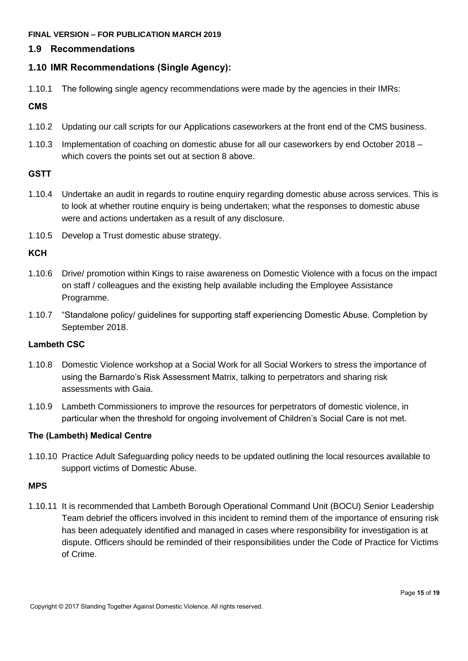#### **FINAL VERSION – FOR PUBLICATION MARCH 2019**

# <span id="page-14-0"></span>**1.9 Recommendations**

# <span id="page-14-1"></span>**1.10 IMR Recommendations (Single Agency):**

1.10.1 The following single agency recommendations were made by the agencies in their IMRs:

#### **CMS**

- 1.10.2 Updating our call scripts for our Applications caseworkers at the front end of the CMS business.
- 1.10.3 Implementation of coaching on domestic abuse for all our caseworkers by end October 2018 which covers the points set out at section 8 above.

# **GSTT**

- 1.10.4 Undertake an audit in regards to routine enquiry regarding domestic abuse across services. This is to look at whether routine enquiry is being undertaken; what the responses to domestic abuse were and actions undertaken as a result of any disclosure.
- 1.10.5 Develop a Trust domestic abuse strategy.

# **KCH**

- 1.10.6 Drive/ promotion within Kings to raise awareness on Domestic Violence with a focus on the impact on staff / colleagues and the existing help available including the Employee Assistance Programme.
- 1.10.7 "Standalone policy/ guidelines for supporting staff experiencing Domestic Abuse. Completion by September 2018.

#### **Lambeth CSC**

- 1.10.8 Domestic Violence workshop at a Social Work for all Social Workers to stress the importance of using the Barnardo's Risk Assessment Matrix, talking to perpetrators and sharing risk assessments with Gaia.
- 1.10.9 Lambeth Commissioners to improve the resources for perpetrators of domestic violence, in particular when the threshold for ongoing involvement of Children's Social Care is not met.

#### **The (Lambeth) Medical Centre**

1.10.10 Practice Adult Safeguarding policy needs to be updated outlining the local resources available to support victims of Domestic Abuse.

#### **MPS**

1.10.11 It is recommended that Lambeth Borough Operational Command Unit (BOCU) Senior Leadership Team debrief the officers involved in this incident to remind them of the importance of ensuring risk has been adequately identified and managed in cases where responsibility for investigation is at dispute. Officers should be reminded of their responsibilities under the Code of Practice for Victims of Crime.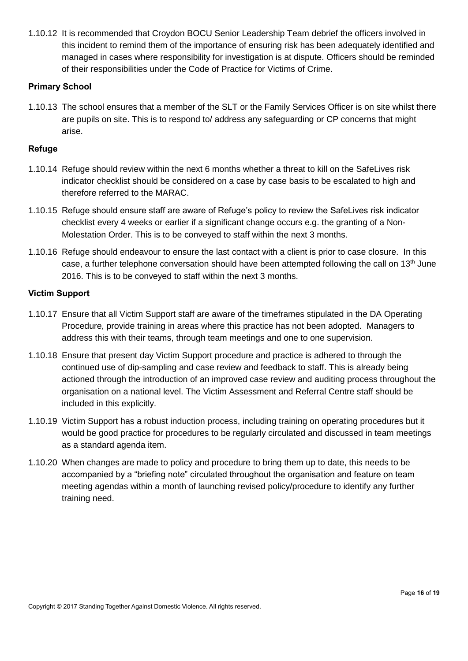1.10.12 It is recommended that Croydon BOCU Senior Leadership Team debrief the officers involved in this incident to remind them of the importance of ensuring risk has been adequately identified and managed in cases where responsibility for investigation is at dispute. Officers should be reminded of their responsibilities under the Code of Practice for Victims of Crime.

#### **Primary School**

1.10.13 The school ensures that a member of the SLT or the Family Services Officer is on site whilst there are pupils on site. This is to respond to/ address any safeguarding or CP concerns that might arise.

# **Refuge**

- 1.10.14 Refuge should review within the next 6 months whether a threat to kill on the SafeLives risk indicator checklist should be considered on a case by case basis to be escalated to high and therefore referred to the MARAC.
- 1.10.15 Refuge should ensure staff are aware of Refuge's policy to review the SafeLives risk indicator checklist every 4 weeks or earlier if a significant change occurs e.g. the granting of a Non-Molestation Order. This is to be conveyed to staff within the next 3 months.
- 1.10.16 Refuge should endeavour to ensure the last contact with a client is prior to case closure. In this case, a further telephone conversation should have been attempted following the call on 13<sup>th</sup> June 2016. This is to be conveyed to staff within the next 3 months.

# **Victim Support**

- 1.10.17 Ensure that all Victim Support staff are aware of the timeframes stipulated in the DA Operating Procedure, provide training in areas where this practice has not been adopted. Managers to address this with their teams, through team meetings and one to one supervision.
- 1.10.18 Ensure that present day Victim Support procedure and practice is adhered to through the continued use of dip-sampling and case review and feedback to staff. This is already being actioned through the introduction of an improved case review and auditing process throughout the organisation on a national level. The Victim Assessment and Referral Centre staff should be included in this explicitly.
- 1.10.19 Victim Support has a robust induction process, including training on operating procedures but it would be good practice for procedures to be regularly circulated and discussed in team meetings as a standard agenda item.
- 1.10.20 When changes are made to policy and procedure to bring them up to date, this needs to be accompanied by a "briefing note" circulated throughout the organisation and feature on team meeting agendas within a month of launching revised policy/procedure to identify any further training need.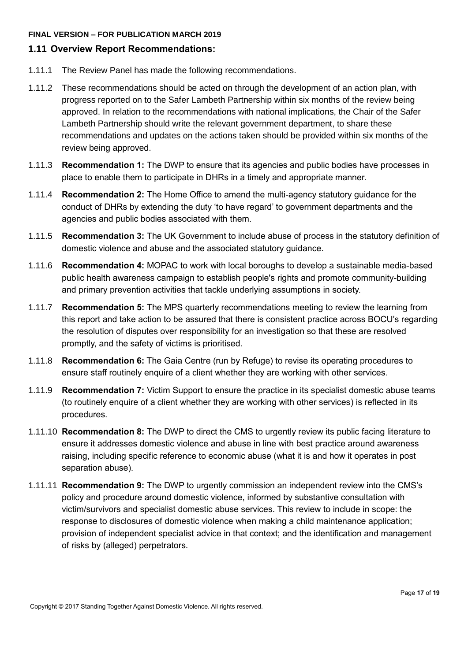#### **FINAL VERSION – FOR PUBLICATION MARCH 2019**

# <span id="page-16-0"></span>**1.11 Overview Report Recommendations:**

- 1.11.1 The Review Panel has made the following recommendations.
- 1.11.2 These recommendations should be acted on through the development of an action plan, with progress reported on to the Safer Lambeth Partnership within six months of the review being approved. In relation to the recommendations with national implications, the Chair of the Safer Lambeth Partnership should write the relevant government department, to share these recommendations and updates on the actions taken should be provided within six months of the review being approved.
- 1.11.3 **Recommendation 1:** The DWP to ensure that its agencies and public bodies have processes in place to enable them to participate in DHRs in a timely and appropriate manner.
- 1.11.4 **Recommendation 2:** The Home Office to amend the multi-agency statutory guidance for the conduct of DHRs by extending the duty 'to have regard' to government departments and the agencies and public bodies associated with them.
- 1.11.5 **Recommendation 3:** The UK Government to include abuse of process in the statutory definition of domestic violence and abuse and the associated statutory guidance.
- 1.11.6 **Recommendation 4:** MOPAC to work with local boroughs to develop a sustainable media-based public health awareness campaign to establish people's rights and promote community-building and primary prevention activities that tackle underlying assumptions in society.
- 1.11.7 **Recommendation 5:** The MPS quarterly recommendations meeting to review the learning from this report and take action to be assured that there is consistent practice across BOCU's regarding the resolution of disputes over responsibility for an investigation so that these are resolved promptly, and the safety of victims is prioritised.
- 1.11.8 **Recommendation 6:** The Gaia Centre (run by Refuge) to revise its operating procedures to ensure staff routinely enquire of a client whether they are working with other services.
- 1.11.9 **Recommendation 7:** Victim Support to ensure the practice in its specialist domestic abuse teams (to routinely enquire of a client whether they are working with other services) is reflected in its procedures.
- 1.11.10 **Recommendation 8:** The DWP to direct the CMS to urgently review its public facing literature to ensure it addresses domestic violence and abuse in line with best practice around awareness raising, including specific reference to economic abuse (what it is and how it operates in post separation abuse).
- 1.11.11 **Recommendation 9:** The DWP to urgently commission an independent review into the CMS's policy and procedure around domestic violence, informed by substantive consultation with victim/survivors and specialist domestic abuse services. This review to include in scope: the response to disclosures of domestic violence when making a child maintenance application; provision of independent specialist advice in that context; and the identification and management of risks by (alleged) perpetrators.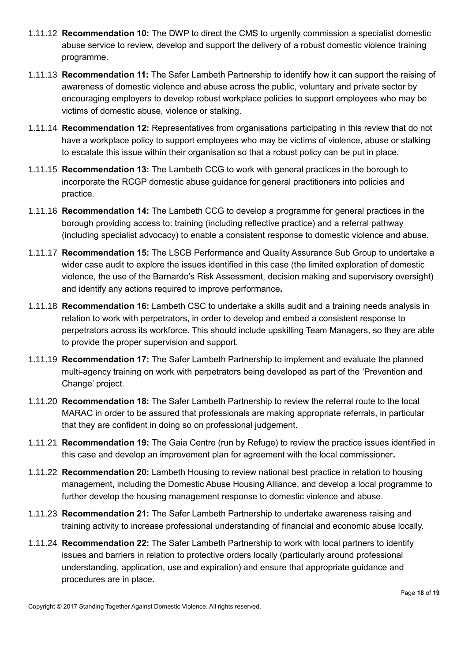- 1.11.12 **Recommendation 10:** The DWP to direct the CMS to urgently commission a specialist domestic abuse service to review, develop and support the delivery of a robust domestic violence training programme.
- 1.11.13 **Recommendation 11:** The Safer Lambeth Partnership to identify how it can support the raising of awareness of domestic violence and abuse across the public, voluntary and private sector by encouraging employers to develop robust workplace policies to support employees who may be victims of domestic abuse, violence or stalking.
- 1.11.14 **Recommendation 12:** Representatives from organisations participating in this review that do not have a workplace policy to support employees who may be victims of violence, abuse or stalking to escalate this issue within their organisation so that a robust policy can be put in place.
- 1.11.15 **Recommendation 13:** The Lambeth CCG to work with general practices in the borough to incorporate the RCGP domestic abuse guidance for general practitioners into policies and practice.
- 1.11.16 **Recommendation 14:** The Lambeth CCG to develop a programme for general practices in the borough providing access to: training (including reflective practice) and a referral pathway (including specialist advocacy) to enable a consistent response to domestic violence and abuse.
- 1.11.17 **Recommendation 15:** The LSCB Performance and Quality Assurance Sub Group to undertake a wider case audit to explore the issues identified in this case (the limited exploration of domestic violence, the use of the Barnardo's Risk Assessment, decision making and supervisory oversight) and identify any actions required to improve performance**.**
- 1.11.18 **Recommendation 16:** Lambeth CSC to undertake a skills audit and a training needs analysis in relation to work with perpetrators, in order to develop and embed a consistent response to perpetrators across its workforce. This should include upskilling Team Managers, so they are able to provide the proper supervision and support.
- 1.11.19 **Recommendation 17:** The Safer Lambeth Partnership to implement and evaluate the planned multi-agency training on work with perpetrators being developed as part of the 'Prevention and Change' project.
- 1.11.20 **Recommendation 18:** The Safer Lambeth Partnership to review the referral route to the local MARAC in order to be assured that professionals are making appropriate referrals, in particular that they are confident in doing so on professional judgement.
- 1.11.21 **Recommendation 19:** The Gaia Centre (run by Refuge) to review the practice issues identified in this case and develop an improvement plan for agreement with the local commissioner**.**
- 1.11.22 **Recommendation 20:** Lambeth Housing to review national best practice in relation to housing management, including the Domestic Abuse Housing Alliance, and develop a local programme to further develop the housing management response to domestic violence and abuse.
- 1.11.23 **Recommendation 21:** The Safer Lambeth Partnership to undertake awareness raising and training activity to increase professional understanding of financial and economic abuse locally.
- 1.11.24 **Recommendation 22:** The Safer Lambeth Partnership to work with local partners to identify issues and barriers in relation to protective orders locally (particularly around professional understanding, application, use and expiration) and ensure that appropriate guidance and procedures are in place.